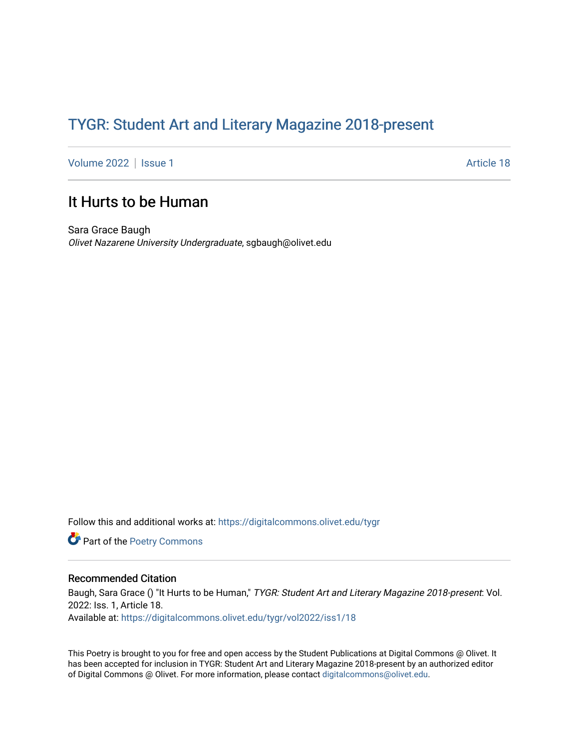## TYGR: Student Art and Literary Magazine 2018-present

[Volume 2022](https://digitalcommons.olivet.edu/tygr/vol2022) | [Issue 1](https://digitalcommons.olivet.edu/tygr/vol2022/iss1) Article 18

## It Hurts to be Human

Sara Grace Baugh Olivet Nazarene University Undergraduate, sgbaugh@olivet.edu

Follow this and additional works at: [https://digitalcommons.olivet.edu/tygr](https://digitalcommons.olivet.edu/tygr?utm_source=digitalcommons.olivet.edu%2Ftygr%2Fvol2022%2Fiss1%2F18&utm_medium=PDF&utm_campaign=PDFCoverPages)

Part of the [Poetry Commons](http://network.bepress.com/hgg/discipline/1153?utm_source=digitalcommons.olivet.edu%2Ftygr%2Fvol2022%2Fiss1%2F18&utm_medium=PDF&utm_campaign=PDFCoverPages) 

## Recommended Citation

Baugh, Sara Grace () "It Hurts to be Human," TYGR: Student Art and Literary Magazine 2018-present: Vol. 2022: Iss. 1, Article 18. Available at: [https://digitalcommons.olivet.edu/tygr/vol2022/iss1/18](https://digitalcommons.olivet.edu/tygr/vol2022/iss1/18?utm_source=digitalcommons.olivet.edu%2Ftygr%2Fvol2022%2Fiss1%2F18&utm_medium=PDF&utm_campaign=PDFCoverPages) 

This Poetry is brought to you for free and open access by the Student Publications at Digital Commons @ Olivet. It has been accepted for inclusion in TYGR: Student Art and Literary Magazine 2018-present by an authorized editor of Digital Commons @ Olivet. For more information, please contact [digitalcommons@olivet.edu.](mailto:digitalcommons@olivet.edu)